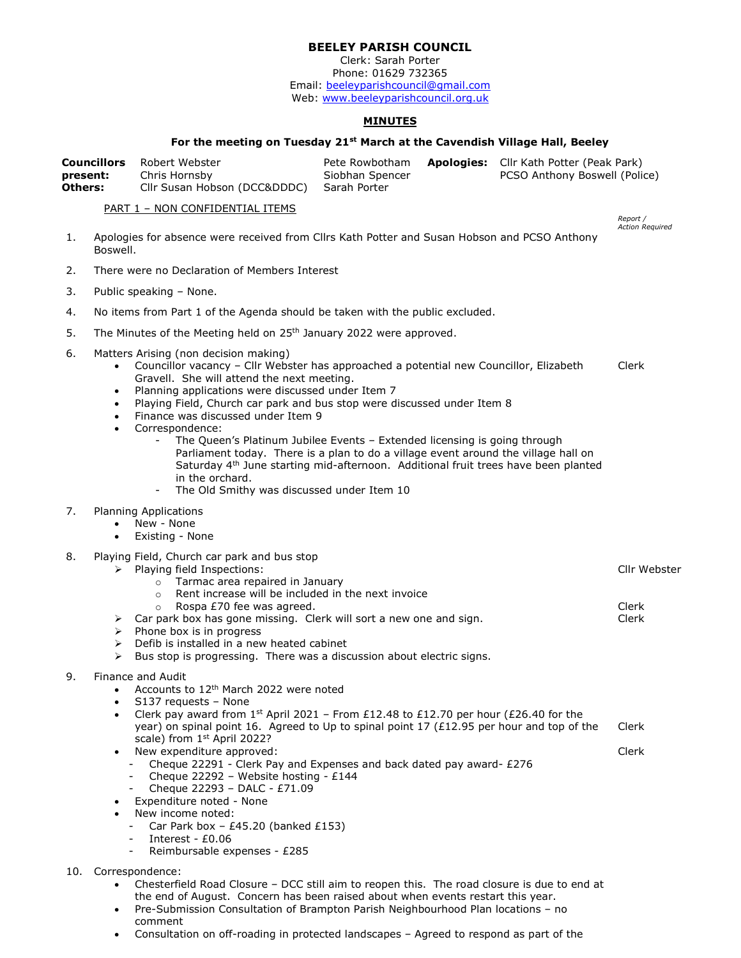# BEELEY PARISH COUNCIL

Clerk: Sarah Porter Phone: 01629 732365 Email: beeleyparishcouncil@gmail.com Web: www.beeleyparishcouncil.org.uk

## MINUTES

### For the meeting on Tuesday 21<sup>st</sup> March at the Cavendish Village Hall, Beeley

|                | <b>Councillors</b> Robert Webster         | Pete Rowbotham  | <b>Apologies:</b> Cllr Kath Potter (Peak Park) |
|----------------|-------------------------------------------|-----------------|------------------------------------------------|
| present:       | Chris Hornsby                             | Siobhan Spencer | PCSO Anthony Boswell (Police)                  |
| <b>Others:</b> | Cllr Susan Hobson (DCC&DDDC) Sarah Porter |                 |                                                |

#### PART 1 – NON CONFIDENTIAL ITEMS

Report / Action Required

Cllr Webster

- 1. Apologies for absence were received from Cllrs Kath Potter and Susan Hobson and PCSO Anthony Boswell.
- 2. There were no Declaration of Members Interest
- 3. Public speaking None.
- 4. No items from Part 1 of the Agenda should be taken with the public excluded.
- 5. The Minutes of the Meeting held on 25<sup>th</sup> January 2022 were approved.
- 6. Matters Arising (non decision making)
	- Councillor vacancy Cllr Webster has approached a potential new Councillor, Elizabeth Gravell. She will attend the next meeting. Clerk
	- Planning applications were discussed under Item 7
	- Playing Field, Church car park and bus stop were discussed under Item 8
	- Finance was discussed under Item 9
	- Correspondence:
		- The Queen's Platinum Jubilee Events Extended licensing is going through Parliament today. There is a plan to do a village event around the village hall on Saturday 4<sup>th</sup> June starting mid-afternoon. Additional fruit trees have been planted in the orchard.
		- The Old Smithy was discussed under Item 10
- 7. Planning Applications
	- New None
	- Existing None
- 8. Playing Field, Church car park and bus stop
	- $\triangleright$  Playing field Inspections:
		- o Tarmac area repaired in January
		- o Rent increase will be included in the next invoice
	- o Rospa £70 fee was agreed.  $\triangleright$  Car park box has gone missing. Clerk will sort a new one and sign. Clerk Clerk
	- $\triangleright$  Phone box is in progress
	- $\triangleright$  Defib is installed in a new heated cabinet
	- $\triangleright$  Bus stop is progressing. There was a discussion about electric signs.
- 9. Finance and Audit
	- Accounts to 12th March 2022 were noted
	-
	- S137 requests None<br>• Clerk pav award from Clerk pay award from 1<sup>st</sup> April 2021 – From £12.48 to £12.70 per hour (£26.40 for the year) on spinal point 16. Agreed to Up to spinal point 17 (£12.95 per hour and top of the scale) from 1st April 2022? Clerk Clerk
	- New expenditure approved:
		- Cheque 22291 Clerk Pay and Expenses and back dated pay award- £276
		- Cheque 22292 Website hosting £144
		- Cheque 22293 DALC £71.09
	- Expenditure noted None
	- New income noted:
		- Car Park box  $£45.20$  (banked £153)
	- Interest £0.06
		- Reimbursable expenses £285
- 10. Correspondence:
	- Chesterfield Road Closure DCC still aim to reopen this. The road closure is due to end at the end of August. Concern has been raised about when events restart this year.
	- Pre-Submission Consultation of Brampton Parish Neighbourhood Plan locations no comment
	- Consultation on off-roading in protected landscapes Agreed to respond as part of the